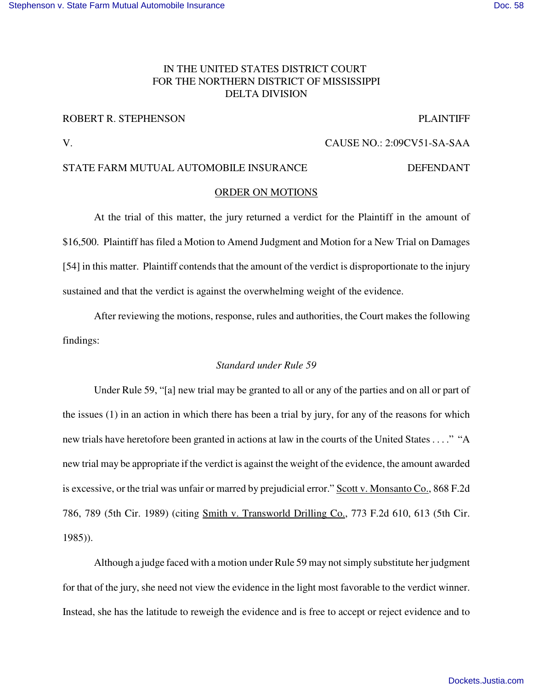# IN THE UNITED STATES DISTRICT COURT FOR THE NORTHERN DISTRICT OF MISSISSIPPI DELTA DIVISION

# ROBERT R. STEPHENSON PLAINTIFF

V. CAUSE NO.: 2:09CV51-SA-SAA

# STATE FARM MUTUAL AUTOMOBILE INSURANCE DEFENDANT

# ORDER ON MOTIONS

At the trial of this matter, the jury returned a verdict for the Plaintiff in the amount of \$16,500. Plaintiff has filed a Motion to Amend Judgment and Motion for a New Trial on Damages [54] in this matter. Plaintiff contends that the amount of the verdict is disproportionate to the injury sustained and that the verdict is against the overwhelming weight of the evidence.

After reviewing the motions, response, rules and authorities, the Court makes the following findings:

# *Standard under Rule 59*

Under Rule 59, "[a] new trial may be granted to all or any of the parties and on all or part of the issues (1) in an action in which there has been a trial by jury, for any of the reasons for which new trials have heretofore been granted in actions at law in the courts of the United States . . . ." "A new trial may be appropriate if the verdict is against the weight of the evidence, the amount awarded is excessive, or the trial was unfair or marred by prejudicial error." Scott v. Monsanto Co., 868 F.2d 786, 789 (5th Cir. 1989) (citing Smith v. Transworld Drilling Co., 773 F.2d 610, 613 (5th Cir. 1985)).

Although a judge faced with a motion under Rule 59 may notsimply substitute her judgment for that of the jury, she need not view the evidence in the light most favorable to the verdict winner. Instead, she has the latitude to reweigh the evidence and is free to accept or reject evidence and to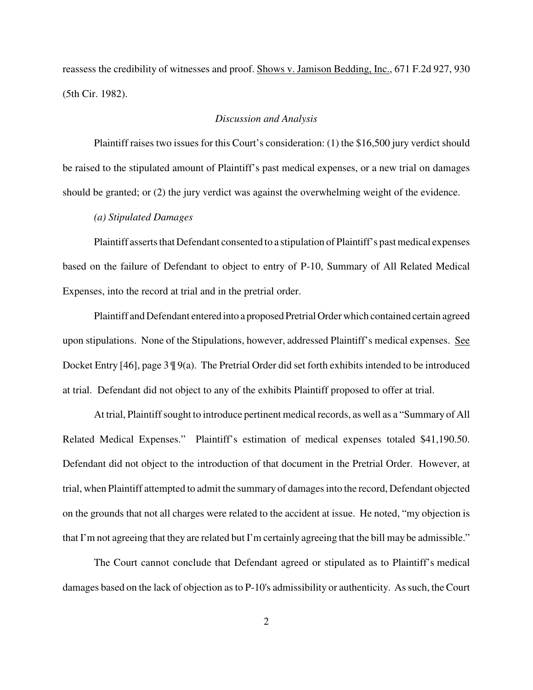reassess the credibility of witnesses and proof. Shows v. Jamison Bedding, Inc., 671 F.2d 927, 930 (5th Cir. 1982).

#### *Discussion and Analysis*

Plaintiff raises two issues for this Court's consideration: (1) the \$16,500 jury verdict should be raised to the stipulated amount of Plaintiff's past medical expenses, or a new trial on damages should be granted; or (2) the jury verdict was against the overwhelming weight of the evidence.

*(a) Stipulated Damages*

Plaintiff asserts that Defendant consented to a stipulation of Plaintiff's past medical expenses based on the failure of Defendant to object to entry of P-10, Summary of All Related Medical Expenses, into the record at trial and in the pretrial order.

Plaintiff and Defendant entered into a proposed Pretrial Order which contained certain agreed upon stipulations. None of the Stipulations, however, addressed Plaintiff's medical expenses. See Docket Entry [46], page 3 ¶ 9(a). The Pretrial Order did set forth exhibits intended to be introduced at trial. Defendant did not object to any of the exhibits Plaintiff proposed to offer at trial.

At trial, Plaintiffsought to introduce pertinent medical records, as well as a "Summary of All Related Medical Expenses." Plaintiff's estimation of medical expenses totaled \$41,190.50. Defendant did not object to the introduction of that document in the Pretrial Order. However, at trial, when Plaintiff attempted to admit the summary of damagesinto the record, Defendant objected on the grounds that not all charges were related to the accident at issue. He noted, "my objection is that I'm not agreeing that they are related but I'm certainly agreeing that the bill may be admissible."

The Court cannot conclude that Defendant agreed or stipulated as to Plaintiff's medical damages based on the lack of objection as to P-10's admissibility or authenticity. As such, the Court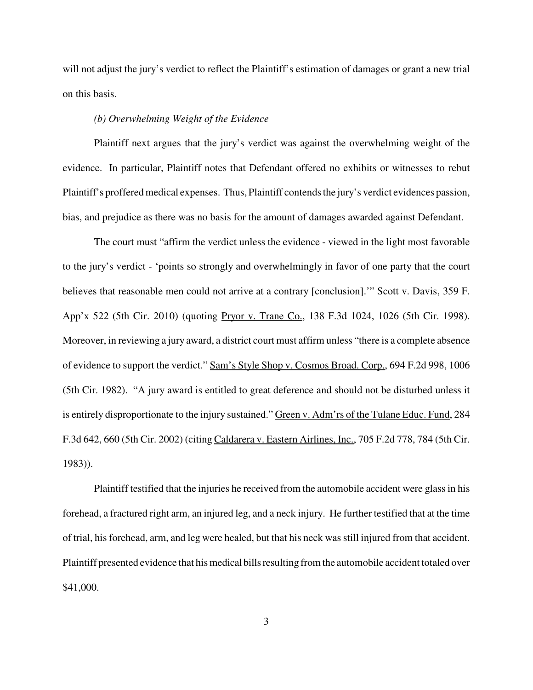will not adjust the jury's verdict to reflect the Plaintiff's estimation of damages or grant a new trial on this basis.

## *(b) Overwhelming Weight of the Evidence*

Plaintiff next argues that the jury's verdict was against the overwhelming weight of the evidence. In particular, Plaintiff notes that Defendant offered no exhibits or witnesses to rebut Plaintiff's proffered medical expenses. Thus, Plaintiff contends the jury's verdict evidences passion, bias, and prejudice as there was no basis for the amount of damages awarded against Defendant.

The court must "affirm the verdict unless the evidence - viewed in the light most favorable to the jury's verdict - 'points so strongly and overwhelmingly in favor of one party that the court believes that reasonable men could not arrive at a contrary [conclusion]." Scott v. Davis, 359 F. App'x 522 (5th Cir. 2010) (quoting Pryor v. Trane Co., 138 F.3d 1024, 1026 (5th Cir. 1998). Moreover, in reviewing a jury award, a district court must affirm unless "there is a complete absence of evidence to support the verdict." Sam's Style Shop v. Cosmos Broad. Corp., 694 F.2d 998, 1006 (5th Cir. 1982). "A jury award is entitled to great deference and should not be disturbed unless it is entirely disproportionate to the injury sustained." Green v. Adm'rs of the Tulane Educ. Fund, 284 F.3d 642, 660 (5th Cir. 2002) (citing Caldarera v. Eastern Airlines, Inc., 705 F.2d 778, 784 (5th Cir. 1983)).

Plaintiff testified that the injuries he received from the automobile accident were glass in his forehead, a fractured right arm, an injured leg, and a neck injury. He further testified that at the time of trial, his forehead, arm, and leg were healed, but that his neck was still injured from that accident. Plaintiff presented evidence that his medical bills resulting from the automobile accident totaled over \$41,000.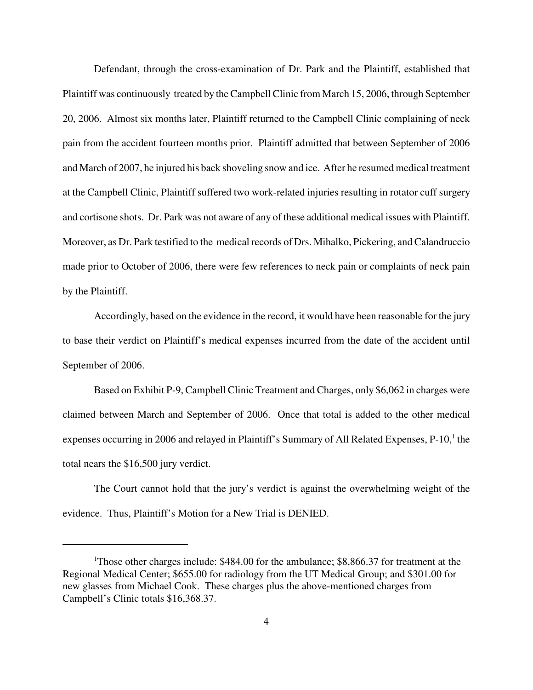Defendant, through the cross-examination of Dr. Park and the Plaintiff, established that Plaintiff was continuously treated by theCampbell Clinic from March 15, 2006, through September 20, 2006. Almost six months later, Plaintiff returned to the Campbell Clinic complaining of neck pain from the accident fourteen months prior. Plaintiff admitted that between September of 2006 and March of 2007, he injured his back shoveling snow and ice. After he resumed medical treatment at the Campbell Clinic, Plaintiff suffered two work-related injuries resulting in rotator cuff surgery and cortisone shots. Dr. Park was not aware of any of these additional medical issues with Plaintiff. Moreover, as Dr. Park testified to the medical records of Drs. Mihalko, Pickering, and Calandruccio made prior to October of 2006, there were few references to neck pain or complaints of neck pain by the Plaintiff.

Accordingly, based on the evidence in the record, it would have been reasonable for the jury to base their verdict on Plaintiff's medical expenses incurred from the date of the accident until September of 2006.

Based on Exhibit P-9, Campbell Clinic Treatment and Charges, only \$6,062 in charges were claimed between March and September of 2006. Once that total is added to the other medical expenses occurring in 2006 and relayed in Plaintiff's Summary of All Related Expenses, P-10,<sup>1</sup> the total nears the \$16,500 jury verdict.

The Court cannot hold that the jury's verdict is against the overwhelming weight of the evidence. Thus, Plaintiff's Motion for a New Trial is DENIED.

<sup>&</sup>lt;sup>1</sup>Those other charges include: \$484.00 for the ambulance; \$8,866.37 for treatment at the Regional Medical Center; \$655.00 for radiology from the UT Medical Group; and \$301.00 for new glasses from Michael Cook. These charges plus the above-mentioned charges from Campbell's Clinic totals \$16,368.37.